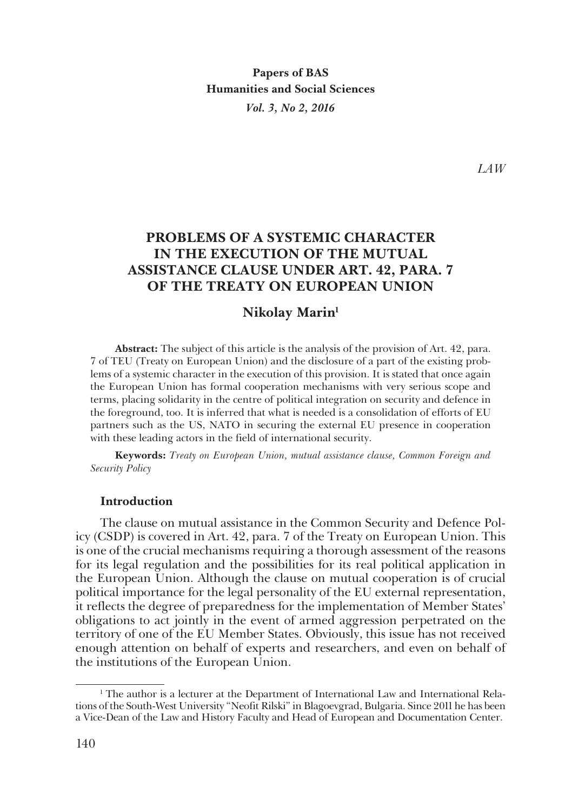**Papers of BAS Humanities and Social Sciences** *Vol. 3, No 2, 2016*

*LAW*

# **PROBLEMS OF A SYSTEMIC CHARACTER IN THE EXECUTION OF THE MUTUAL ASSISTANCE CLAUSE UNDER ART. 42, PARA. 7 OF THE TREATY ON EUROPEAN UNION**

## **Nikolay Marin1**

**Abstract:** The subject of this article is the analysis of the provision of Art. 42, para. 7 of TEU (Treaty on European Union) and the disclosure of а part of the existing prob� lems of a systemic character in the execution of this provision. It is stated that once again the European Union has formal cooperation mechanisms with very serious scope and terms, placing solidarity in the centre of political integration on security and defence in the foreground, too. It is inferred that what is needed is a consolidation of efforts of EU partners such as the US, NATO in securing the external EU presence in cooperation with these leading actors in the field of international security.

**Keywords:** *Treaty on European Union, mutual assistance clause, Common Foreign and Security Policy*

#### **Introduction**

The clause on mutual assistance in the Common Security and Defence Pol� icy (CSDP) is covered in Art. 42, para. 7 of the Treaty on European Union. This is one of the crucial mechanisms requiring a thorough assessment of the reasons for its legal regulation and the possibilities for its real political application in the European Union. Although the clause on mutual cooperation is of crucial political importance for the legal personality of the EU external representation, it reflects the degree of preparedness for the implementation of Member States' obligations to act jointly in the event of armed aggression perpetrated on the territory of one of the EU Member States. Obviously, this issue has not received enough attention on behalf of experts and researchers, and even on behalf of the institutions of the European Union.

<sup>&</sup>lt;sup>1</sup> The author is a lecturer at the Department of International Law and International Relations of the South-West University "Neofit Rilski" in Blagoevgrad, Bulgaria. Since 2011 he has been a Vice-Dean of the Law and History Faculty and Head of European and Documentation Center.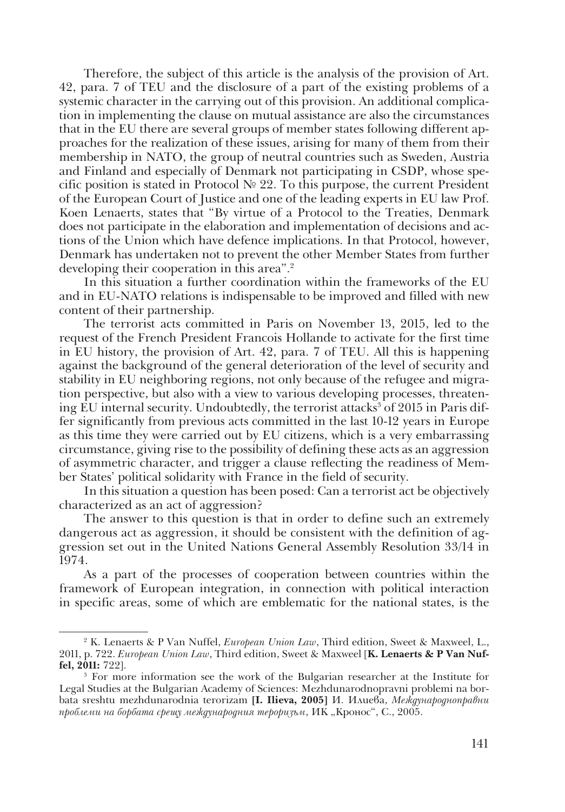Therefore, the subject of this article is the analysis of the provision of Art. 42, para. 7 of TEU and the disclosure of a part of the existing problems of a systemic character in the carrying out of this provision. An additional complica� tion in implementing the clause on mutual assistance are also the circumstances that in the EU there are several groups of member states following different approaches for the realization of these issues, arising for many of them from their membership in NATO, the group of neutral countries such as Sweden, Austria and Finland and especially of Denmark not participating in CSDP, whose specific position is stated in Protocol  $N<sup>2</sup>$  22. To this purpose, the current President of the European Court of Justice and one of the leading experts in EU law Prof. Koen Lenaerts, states that "By virtue of a Protocol to the Treaties, Denmark does not participate in the elaboration and implementation of decisions and ac� tions of the Union which have defence implications. In that Protocol, however, Denmark has undertaken not to prevent the other Member States from further developing their cooperation in this area".2

In this situation a further coordination within the frameworks of the EU and in EU-NATO relations is indispensable to be improved and filled with new content of their partnership.

The terrorist acts committed in Paris on November 13, 2015, led to the request of the French President Francois Hollande to activate for the first time in EU history, the provision of Art. 42, para. 7 of TEU. All this is happening against the background of the general deterioration of the level of security and stability in EU neighboring regions, not only because of the refugee and migra� tion perspective, but also with a view to various developing processes, threaten� ing EU internal security. Undoubtedly, the terrorist attacks $^{\rm 3}$  of 2015 in Paris differ significantly from previous acts committed in the last 10-12 years in Europe as this time they were carried out by EU citizens, which is a very embarrassing circumstance, giving rise to the possibility of defining these acts as an aggression of asymmetric character, and trigger a clause reflecting the readiness of Mem� ber States' political solidarity with France in the field of security.

In this situation a question has been posed: Can a terrorist act be objectively characterized as an act of aggression?

The answer to this question is that in order to define such an extremely dangerous act as aggression, it should be consistent with the definition of ag� gression set out in the United Nations General Assembly Resolution 33/14 in 1974.

As a part of the processes of cooperation between countries within the framework of European integration, in connection with political interaction in specific areas, some of which are emblematic for the national states, is the

<sup>2</sup> K. Lenaerts & P Van Nuffel, *European Union Law*, Third edition, Sweet & Maxweel, L., 2011, p. 722. *European Union Law*, Third edition, Sweet & Maxweel [**K. Lenaerts & P Van Nuffel, 2011:** 722].

<sup>3</sup> For more information see the work of the Bulgarian researcher at the Institute for Legal Studies at the Bulgarian Academy of Sciences: Mezhdunarodnopravni problemi na bor� bata sreshtu mezhdunarodnia terorizam **[I. Ilieva, 2005]** И. Илиева, *Международноправни*  проблеми на борбата срещу международния тероризъм, ИК "Кронос", С., 2005.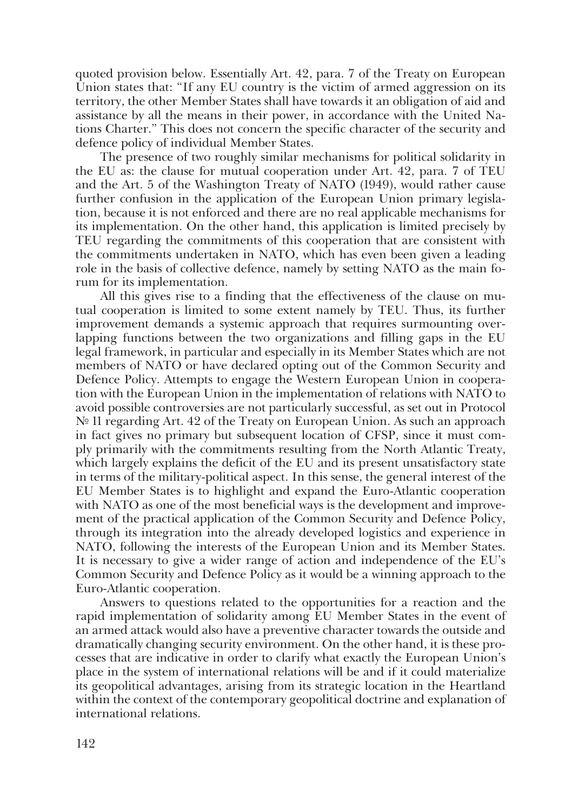quoted provision below. Essentially Art. 42, para. 7 of the Treaty on European Union states that: "If any EU country is the victim of armed aggression on its territory, the other Member States shall have towards it an obligation of aid and assistance by all the means in their power, in accordance with the United Na� tions Charter." This does not concern the specific character of the security and defence policy of individual Member States.

The presence of two roughly similar mechanisms for political solidarity in the EU as: the clause for mutual cooperation under Art. 42, para. 7 of TEU and the Art. 5 of the Washington Treaty of NATO (1949), would rather cause further confusion in the application of the European Union primary legislation, because it is not enforced and there are no real applicable mechanisms for its implementation. On the other hand, this application is limited precisely by TEU regarding the commitments of this cooperation that are consistent with the commitments undertaken in NATO, which has even been given a leading role in the basis of collective defence, namely by setting NATO as the main forum for its implementation.

All this gives rise to a finding that the effectiveness of the clause on mutual cooperation is limited to some extent namely by TEU. Thus, its further improvement demands a systemic approach that requires surmounting over� lapping functions between the two organizations and filling gaps in the EU legal framework, in particular and especially in its Member States which are not members of NATO or have declared opting out of the Common Security and Defence Policy. Attempts to engage the Western European Union in coopera� tion with the European Union in the implementation of relations with NATO to avoid possible controversies are not particularly successful, as set out in Protocol № 11 regarding Art. 42 of the Treaty on European Union. As such an approach in fact gives no primary but subsequent location of CFSP, since it must com� ply primarily with the commitments resulting from the North Atlantic Treaty, which largely explains the deficit of the EU and its present unsatisfactory state in terms of the military-political aspect. In this sense, the general interest of the EU Member States is to highlight and expand the Euro-Atlantic cooperation with NATO as one of the most beneficial ways is the development and improvement of the practical application of the Common Security and Defence Policy, through its integration into the already developed logistics and experience in NATO, following the interests of the European Union and its Member States. It is necessary to give a wider range of action and independence of the EU's Common Security and Defence Policy as it would be a winning approach to the Euro-Atlantic cooperation.

Answers to questions related to the opportunities for a reaction and the rapid implementation of solidarity among EU Member States in the event of an armed attack would also have a preventive character towards the outside and dramatically changing security environment. On the other hand, it is these pro� cesses that are indicative in order to clarify what exactly the European Union's place in the system of international relations will be and if it could materialize its geopolitical advantages, arising from its strategic location in the Heartland within the context of the contemporary geopolitical doctrine and explanation of international relations.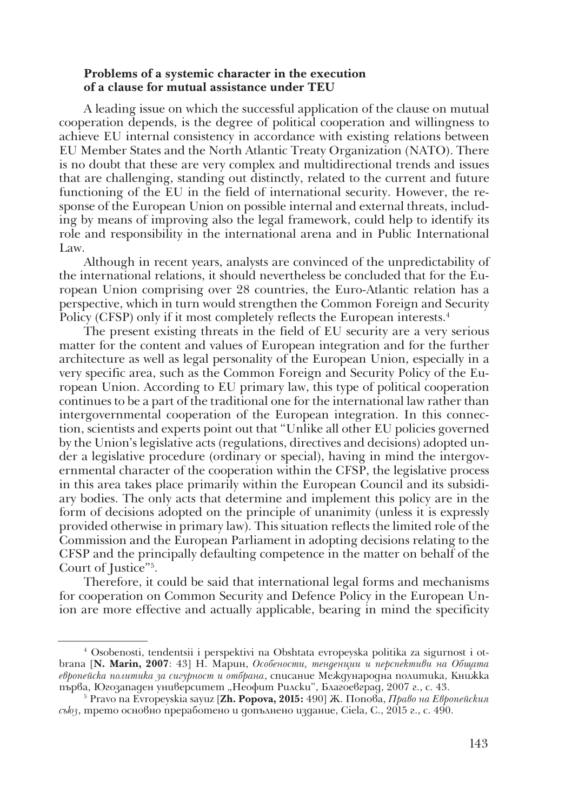## **Problems of a systemic character in the execution of a clause for mutual assistance under TEU**

A leading issue on which the successful application of the clause on mutual cooperation depends, is the degree of political cooperation and willingness to achieve EU internal consistency in accordance with existing relations between EU Member States and the North Atlantic Treaty Organization (NATO). There is no doubt that these are very complex and multidirectional trends and issues that are challenging, standing out distinctly, related to the current and future functioning of the EU in the field of international security. However, the response of the European Union on possible internal and external threats, includ� ing by means of improving also the legal framework, could help to identify its role and responsibility in the international arena and in Public International Law.

Although in recent years, analysts are convinced of the unpredictability of the international relations, it should nevertheless be concluded that for the European Union comprising over 28 countries, the Euro-Atlantic relation has a perspective, which in turn would strengthen the Common Foreign and Security Policy (CFSP) only if it most completely reflects the European interests.<sup>4</sup>

The present existing threats in the field of EU security are a very serious matter for the content and values of European integration and for the further architecture as well as legal personality of the European Union, especially in a very specific area, such as the Common Foreign and Security Policy of the European Union. According to EU primary law, this type of political cooperation continues to be a part of the traditional one for the international law rather than intergovernmental cooperation of the European integration. In this connection, scientists and experts point out that "Unlike all other EU policies governed by the Union's legislative acts (regulations, directives and decisions) adopted un� der a legislative procedure (ordinary or special), having in mind the intergovernmental character of the cooperation within the CFSP, the legislative process in this area takes place primarily within the European Council and its subsidiary bodies. The only acts that determine and implement this policy are in the form of decisions adopted on the principle of unanimity (unless it is expressly provided otherwise in primary law). This situation reflects the limited role of the Commission and the European Parliament in adopting decisions relating to the CFSP and the principally defaulting competence in the matter on behalf of the Court of Justice"5 .

Therefore, it could be said that international legal forms and mechanisms for cooperation on Common Security and Defence Policy in the European Un� ion are more effective and actually applicable, bearing in mind the specificity

<sup>&</sup>lt;sup>4</sup> Osobenosti, tendentsii i perspektivi na Obshtata evropeyska politika za sigurnost i otbrana [**N. Marin, 2007**: 43] Н. Марин, *Особености, тенденции и перспективи на Общата европейска политика за сигурност и отбрана*, списание Международна политика, Книжка

първа, Югозападен университет "Неофит Рилски", Благоевград, 2007 г., с. 43. 5 Pravo na Evropeyskia sayuz [**Zh. Popova, 2015:** 490] Ж. Попова, *Право на Европейския съюз*, трето основно преработено и допълнено издание, Ciela, С., 2015 г., с. 490.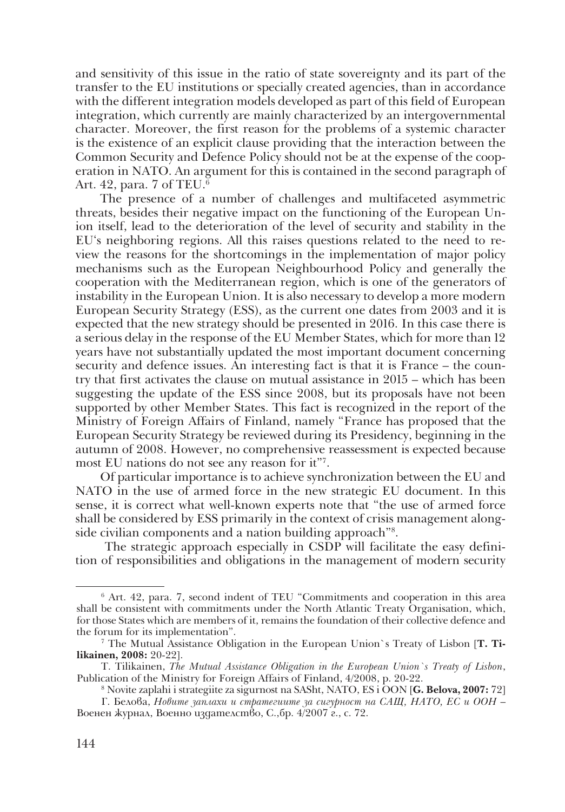and sensitivity of this issue in the ratio of state sovereignty and its part of the transfer to the EU institutions or specially created agencies, than in accordance with the different integration models developed as part of this field of European integration, which currently are mainly characterized by an intergovernmental character. Moreover, the first reason for the problems of a systemic character is the existence of an explicit clause providing that the interaction between the Common Security and Defence Policy should not be at the expense of the coop� eration in NATO. An argument for this is contained in the second paragraph of Art. 42, para. 7 of TEU.6

The presence of a number of challenges and multifaceted asymmetric threats, besides their negative impact on the functioning of the European Un� ion itself, lead to the deterioration of the level of security and stability in the EU's neighboring regions. All this raises questions related to the need to review the reasons for the shortcomings in the implementation of major policy mechanisms such as the European Neighbourhood Policy and generally the cooperation with the Mediterranean region, which is one of the generators of instability in the European Union. It is also necessary to develop a more modern European Security Strategy (ESS), as the current one dates from 2003 and it is expected that the new strategy should be presented in 2016. In this case there is a serious delay in the response of the EU Member States, which for more than 12 years have not substantially updated the most important document concerning security and defence issues. An interesting fact is that it is France – the coun� try that first activates the clause on mutual assistance in 2015 – which has been suggesting the update of the ESS since 2008, but its proposals have not been supported by other Member States. This fact is recognized in the report of the Ministry of Foreign Affairs of Finland, namely "France has proposed that the European Security Strategy be reviewed during its Presidency, beginning in the autumn of 2008. However, no comprehensive reassessment is expected because most EU nations do not see any reason for it"7 .

Of particular importance is to achieve synchronization between the EU and NATO in the use of armed force in the new strategic EU document. In this sense, it is correct what well-known experts note that "the use of armed force shall be considered by ESS primarily in the context of crisis management alongside civilian components and a nation building approach"8 .

The strategic approach especially in CSDP will facilitate the easy definition of responsibilities and obligations in the management of modern security

<sup>6</sup> Art. 42, para. 7, second indent of TEU "Commitments and cooperation in this area shall be consistent with commitments under the North Atlantic Treaty Organisation, which, for those States which are members of it, remains the foundation of their collective defence and the forum for its implementation".

<sup>7</sup> The Mutual Assistance Obligation in the European Union`s Treaty of Lisbon [**T. Tilikainen, 2008:** 20-22].

T. Tilikainen, *The Mutual Assistance Obligation in the European Union`s Treaty of Lisbon*, Publication of the Ministry for Foreign Affairs of Finland,  $4/2008$ , p. 20-22.

<sup>8</sup> Novite zaplahi i strategiite za sigurnost na SASht, NATO, ES i OON [**G. Belova, 2007:** 72]

Г. Белова, *Новите заплахи и стратегиите за сигурност на САЩ, НАТО, ЕС и ООН* – Военен журнал, Военно издателство, С.,бр. 4/2007 г., с. 72.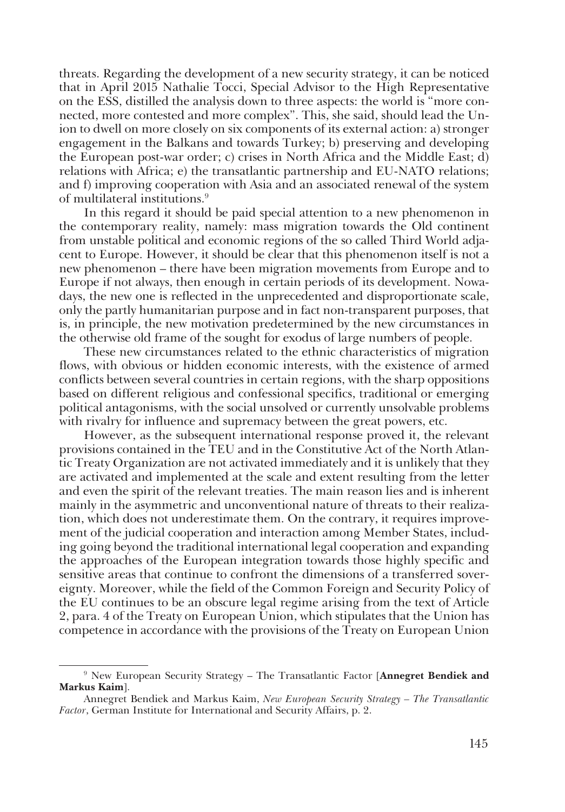threats. Regarding the development of a new security strategy, it can be noticed that in April 2015 Nathalie Tocci, Special Advisor to the High Representative on the ESS, distilled the analysis down to three aspects: the world is "more con� nected, more contested and more complex". This, she said, should lead the Un� ion to dwell on more closely on six components of its external action: a) stronger engagement in the Balkans and towards Turkey; b) preserving and developing the European post-war order; c) crises in North Africa and the Middle East; d) relations with Africa; e) the transatlantic partnership and EU-NATO relations; and f) improving cooperation with Asia and an associated renewal of the system of multilateral institutions.9

In this regard it should be paid special attention to a new phenomenon in the contemporary reality, namely: mass migration towards the Old continent from unstable political and economic regions of the so called Third World adja� cent to Europe. However, it should be clear that this phenomenon itself is not a new phenomenon – there have been migration movements from Europe and to Europe if not always, then enough in certain periods of its development. Nowa� days, the new one is reflected in the unprecedented and disproportionate scale, only the partly humanitarian purpose and in fact non-transparent purposes, that is, in principle, the new motivation predetermined by the new circumstances in the otherwise old frame of the sought for exodus of large numbers of people.

These new circumstances related to the ethnic characteristics of migration flows, with obvious or hidden economic interests, with the existence of armed conflicts between several countries in certain regions, with the sharp oppositions based on different religious and confessional specifics, traditional or emerging political antagonisms, with the social unsolved or currently unsolvable problems with rivalry for influence and supremacy between the great powers, etc.

However, as the subsequent international response proved it, the relevant provisions contained in the TEU and in the Constitutive Act of the North Atlan� tic Treaty Organization are not activated immediately and it is unlikely that they are activated and implemented at the scale and extent resulting from the letter and even the spirit of the relevant treaties. The main reason lies and is inherent mainly in the asymmetric and unconventional nature of threats to their realization, which does not underestimate them. On the contrary, it requires improve� ment of the judicial cooperation and interaction among Member States, includ� ing going beyond the traditional international legal cooperation and expanding the approaches of the European integration towards those highly specific and sensitive areas that continue to confront the dimensions of a transferred sover� eignty. Moreover, while the field of the Common Foreign and Security Policy of the EU continues to be an obscure legal regime arising from the text of Article 2, para. 4 of the Treaty on European Union, which stipulates that the Union has competence in accordance with the provisions of the Treaty on European Union

<sup>9</sup> New European Security Strategy – The Transatlantic Factor [**Annegret Bendiek and Markus Kaim**].

Annegret Bendiek and Markus Kaim, *New European Security Strategy – The Transatlantic Factor*, German Institute for International and Security Affairs, p. 2.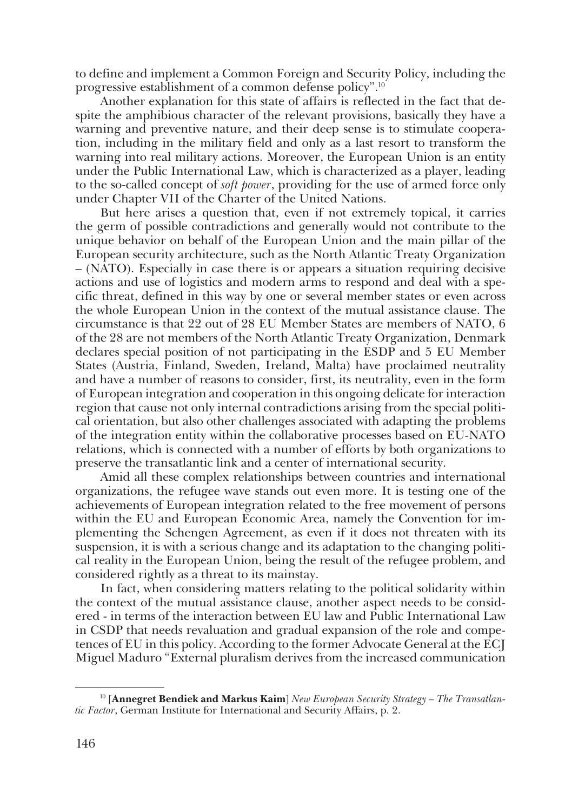to define and implement a Common Foreign and Security Policy, including the progressive establishment of a common defense policy".10

Another explanation for this state of affairs is reflected in the fact that despite the amphibious character of the relevant provisions, basically they have a warning and preventive nature, and their deep sense is to stimulate cooperation, including in the military field and only as a last resort to transform the warning into real military actions. Moreover, the European Union is an entity under the Public International Law, which is characterized as a player, leading to the so-called concept of *soft power*, providing for the use of armed force only under Chapter VII of the Charter of the United Nations.

But here arises a question that, even if not extremely topical, it carries the germ of possible contradictions and generally would not contribute to the unique behavior on behalf of the European Union and the main pillar of the European security architecture, such as the North Atlantic Treaty Organization – (NATO). Especially in case there is or appears a situation requiring decisive actions and use of logistics and modern arms to respond and deal with a specific threat, defined in this way by one or several member states or even across the whole European Union in the context of the mutual assistance clause. The circumstance is that 22 out of 28 EU Member States are members of NATO, 6 of the 28 are not members of the North Atlantic Treaty Organization, Denmark declares special position of not participating in the ESDP and 5 EU Member States (Austria, Finland, Sweden, Ireland, Malta) have proclaimed neutrality and have a number of reasons to consider, first, its neutrality, even in the form of European integration and cooperation in this ongoing delicate for interaction region that cause not only internal contradictions arising from the special political orientation, but also other challenges associated with adapting the problems of the integration entity within the collaborative processes based on EU-NATO relations, which is connected with a number of efforts by both organizations to preserve the transatlantic link and a center of international security.

Amid all these complex relationships between countries and international organizations, the refugee wave stands out even more. It is testing one of the achievements of European integration related to the free movement of persons within the EU and European Economic Area, namely the Convention for implementing the Schengen Agreement, as even if it does not threaten with its suspension, it is with a serious change and its adaptation to the changing political reality in the European Union, being the result of the refugee problem, and considered rightly as a threat to its mainstay.

In fact, when considering matters relating to the political solidarity within the context of the mutual assistance clause, another aspect needs to be consid� ered - in terms of the interaction between EU law and Public International Law in CSDP that needs revaluation and gradual expansion of the role and competences of EU in this policy. According to the former Advocate General at the ECJ Miguel Maduro "External pluralism derives from the increased communication

<sup>10 [</sup>**Annegret Bendiek and Markus Kaim**] *New European Security Strategy – The Transatlantic Factor*, German Institute for International and Security Affairs, p. 2.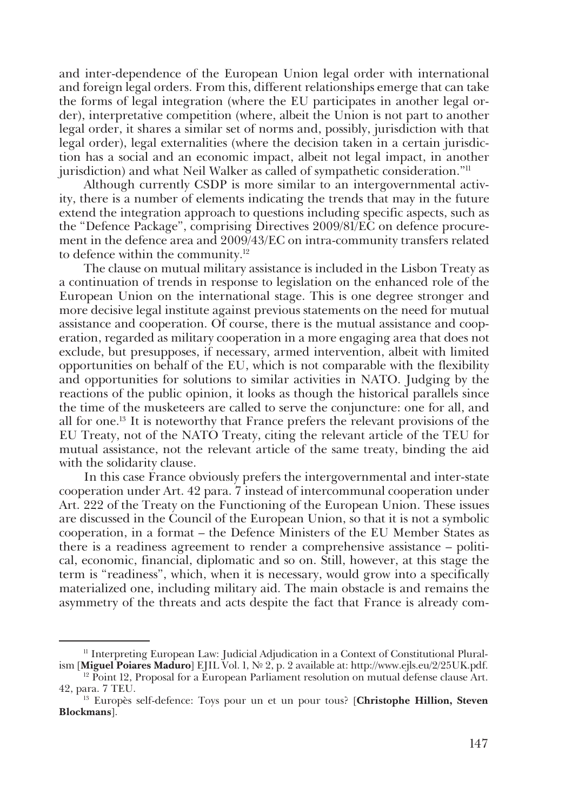and inter-dependence of the European Union legal order with international and foreign legal orders. From this, different relationships emerge that can take the forms of legal integration (where the EU participates in another legal or� der), interpretative competition (where, albeit the Union is not part to another legal order, it shares a similar set of norms and, possibly, jurisdiction with that legal order), legal externalities (where the decision taken in a certain jurisdic� tion has a social and an economic impact, albeit not legal impact, in another jurisdiction) and what Neil Walker as called of sympathetic consideration."11

Although currently CSDP is more similar to an intergovernmental activ� ity, there is a number of elements indicating the trends that may in the future extend the integration approach to questions including specific aspects, such as the "Defence Package", comprising Directives 2009/81/EC on defence procure� ment in the defence area and 2009/43/EC on intra-community transfers related to defence within the community.12

The clause on mutual military assistance is included in the Lisbon Treaty as a continuation of trends in response to legislation on the enhanced role of the European Union on the international stage. This is one degree stronger and more decisive legal institute against previous statements on the need for mutual assistance and cooperation. Of course, there is the mutual assistance and coop� eration, regarded as military cooperation in a more engaging area that does not exclude, but presupposes, if necessary, armed intervention, albeit with limited opportunities on behalf of the EU, which is not comparable with the flexibility and opportunities for solutions to similar activities in NATO. Judging by the reactions of the public opinion, it looks as though the historical parallels since the time of the musketeers are called to serve the conjuncture: one for all, and all for one.13 It is noteworthy that France prefers the relevant provisions of the EU Treaty, not of the NATO Treaty, citing the relevant article of the TEU for mutual assistance, not the relevant article of the same treaty, binding the aid with the solidarity clause.

In this case France obviously prefers the intergovernmental and inter-state cooperation under Art. 42 para. 7 instead of intercommunal cooperation under Art. 222 of the Treaty on the Functioning of the European Union. These issues are discussed in the Council of the European Union, so that it is not a symbolic cooperation, in a format – the Defence Ministers of the EU Member States as there is a readiness agreement to render a comprehensive assistance – political, economic, financial, diplomatic and so on. Still, however, at this stage the term is "readiness", which, when it is necessary, would grow into a specifically materialized one, including military aid. The main obstacle is and remains the asymmetry of the threats and acts despite the fact that France is already com�

 $<sup>11</sup>$  Interpreting European Law: Judicial Adjudication in a Context of Constitutional Plural-</sup> ism [**Miguel Poiares Maduro**] EJIL Vol. 1, № 2, p. 2 available at: http://www.ejls.eu/2/25UK.pdf.

 $12$  Point 12, Proposal for a European Parliament resolution on mutual defense clause Art. 42, para. 7 TEU.

<sup>&</sup>lt;sup>13</sup> Europès self-defence: Toys pour un et un pour tous? [Christophe Hillion, Steven **Blockmans**].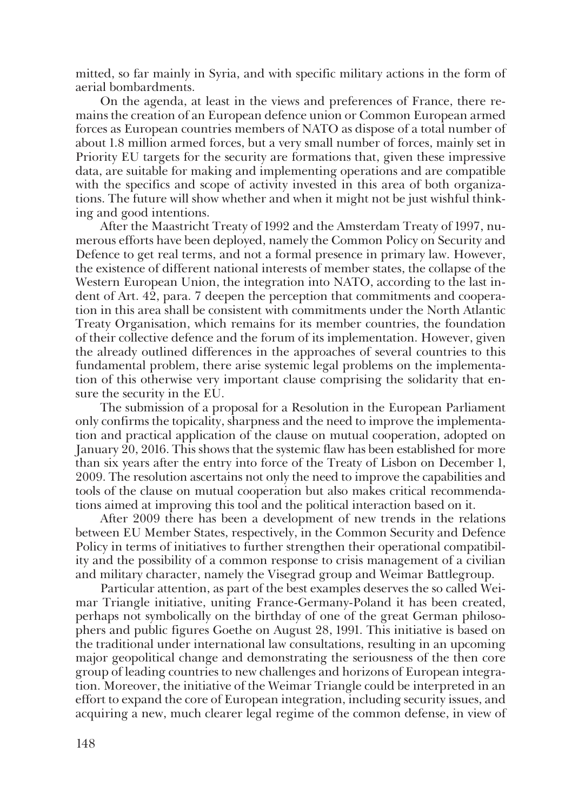mitted, so far mainly in Syria, and with specific military actions in the form of aerial bombardments.

On the agenda, at least in the views and preferences of France, there remains the creation of an European defence union or Common European armed forces as European countries members of NATO as dispose of a total number of about 1.8 million armed forces, but a very small number of forces, mainly set in Priority EU targets for the security are formations that, given these impressive data, are suitable for making and implementing operations and are compatible with the specifics and scope of activity invested in this area of both organizations. The future will show whether and when it might not be just wishful think� ing and good intentions.

After the Maastricht Treaty of 1992 and the Amsterdam Treaty of 1997, numerous efforts have been deployed, namely the Common Policy on Security and Defence to get real terms, and not a formal presence in primary law. However, the existence of different national interests of member states, the collapse of the Western European Union, the integration into NATO, according to the last indent of Art. 42, para. 7 deepen the perception that commitments and coopera� tion in this area shall be consistent with commitments under the North Atlantic Treaty Organisation, which remains for its member countries, the foundation of their collective defence and the forum of its implementation. However, given the already outlined differences in the approaches of several countries to this fundamental problem, there arise systemic legal problems on the implementa� tion of this otherwise very important clause comprising the solidarity that ensure the security in the EU.

The submission of a proposal for a Resolution in the European Parliament only confirms the topicality, sharpness and the need to improve the implementa� tion and practical application of the clause on mutual cooperation, adopted on January 20, 2016. This shows that the systemic flaw has been established for more than six years after the entry into force of the Treaty of Lisbon on December 1, 2009. The resolution ascertains not only the need to improve the capabilities and tools of the clause on mutual cooperation but also makes critical recommenda� tions aimed at improving this tool and the political interaction based on it.

After 2009 there has been a development of new trends in the relations between EU Member States, respectively, in the Common Security and Defence Policy in terms of initiatives to further strengthen their operational compatibility and the possibility of a common response to crisis management of a civilian and military character, namely the Visegrad group and Weimar Battlegroup.

Particular attention, as part of the best examples deserves the so called Weimar Triangle initiative, uniting France-Germany-Poland it has been created, perhaps not symbolically on the birthday of one of the great German philosophers and public figures Goethe on August 28, 1991. This initiative is based on the traditional under international law consultations, resulting in an upcoming major geopolitical change and demonstrating the seriousness of the then core group of leading countries to new challenges and horizons of European integra� tion. Moreover, the initiative of the Weimar Triangle could be interpreted in an effort to expand the core of European integration, including security issues, and acquiring a new, much clearer legal regime of the common defense, in view of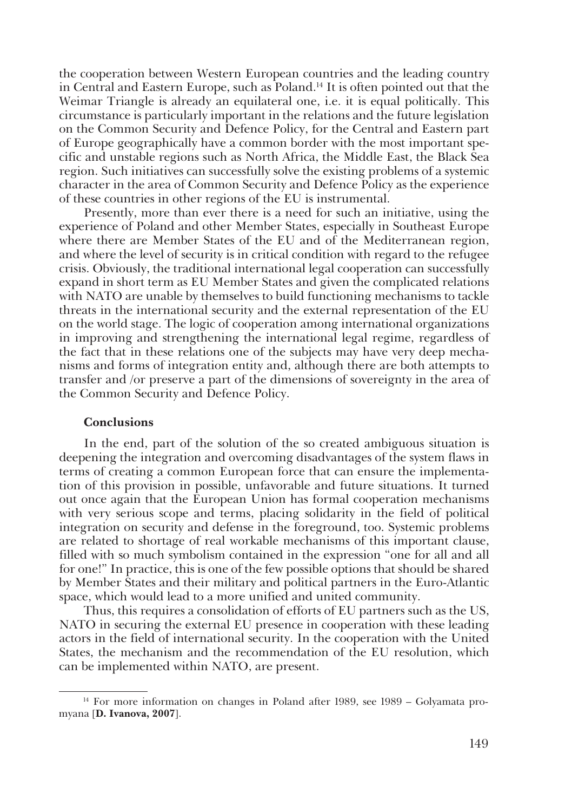the cooperation between Western European countries and the leading country in Central and Eastern Europe, such as Poland.14 It is often pointed out that the Weimar Triangle is already an equilateral one, i.e. it is equal politically. This circumstance is particularly important in the relations and the future legislation on the Common Security and Defence Policy, for the Central and Eastern part of Europe geographically have a common border with the most important specific and unstable regions such as North Africa, the Middle East, the Black Sea region. Such initiatives can successfully solve the existing problems of a systemic character in the area of Common Security and Defence Policy as the experience of these countries in other regions of the EU is instrumental.

Presently, more than ever there is a need for such an initiative, using the experience of Poland and other Member States, especially in Southeast Europe where there are Member States of the EU and of the Mediterranean region, and where the level of security is in critical condition with regard to the refugee crisis. Obviously, the traditional international legal cooperation can successfully expand in short term as EU Member States and given the complicated relations with NATO are unable by themselves to build functioning mechanisms to tackle threats in the international security and the external representation of the EU on the world stage. The logic of cooperation among international organizations in improving and strengthening the international legal regime, regardless of the fact that in these relations one of the subjects may have very deep mecha� nisms and forms of integration entity and, although there are both attempts to transfer and /or preserve a part of the dimensions of sovereignty in the area of the Common Security and Defence Policy.

## **Conclusions**

In the end, part of the solution of the so created ambiguous situation is deepening the integration and overcoming disadvantages of the system flaws in terms of creating a common European force that can ensure the implementa� tion of this provision in possible, unfavorable and future situations. It turned out once again that the European Union has formal cooperation mechanisms with very serious scope and terms, placing solidarity in the field of political integration on security and defense in the foreground, too. Systemic problems are related to shortage of real workable mechanisms of this important clause, filled with so much symbolism contained in the expression "one for all and all for one!" In practice, this is one of the few possible options that should be shared by Member States and their military and political partners in the Euro-Atlantic space, which would lead to a more unified and united community.

Thus, this requires a consolidation of efforts of EU partners such as the US, NATO in securing the external EU presence in cooperation with these leading actors in the field of international security. In the cooperation with the United States, the mechanism and the recommendation of the EU resolution, which can be implemented within NATO, are present.

 $14$  For more information on changes in Poland after 1989, see 1989 – Golyamata promyana [**D. Ivanova, 2007**].